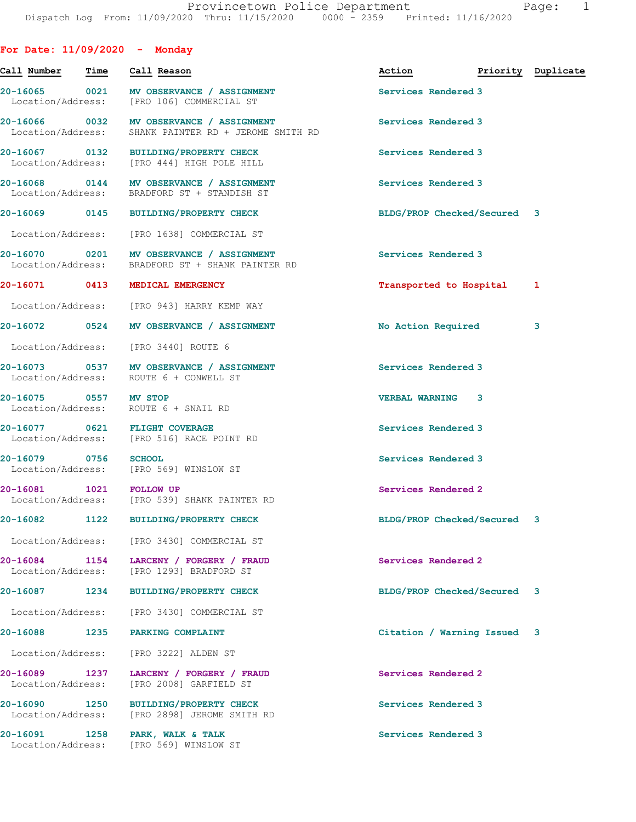| For Date: $11/09/2020$ - Monday    |             |                                                                                                  |                             |                    |
|------------------------------------|-------------|--------------------------------------------------------------------------------------------------|-----------------------------|--------------------|
| Call Number                        | <b>Time</b> | Call Reason                                                                                      | Action                      | Priority Duplicate |
|                                    |             | 20-16065 0021 MV OBSERVANCE / ASSIGNMENT<br>Location/Address: [PRO 106] COMMERCIAL ST            | Services Rendered 3         |                    |
|                                    |             | 20-16066 0032 MV OBSERVANCE / ASSIGNMENT<br>Location/Address: SHANK PAINTER RD + JEROME SMITH RD | Services Rendered 3         |                    |
|                                    |             | 20-16067 0132 BUILDING/PROPERTY CHECK<br>Location/Address: [PRO 444] HIGH POLE HILL              | Services Rendered 3         |                    |
|                                    |             | 20-16068 0144 MV OBSERVANCE / ASSIGNMENT<br>Location/Address: BRADFORD ST + STANDISH ST          | Services Rendered 3         |                    |
|                                    |             | 20-16069 0145 BUILDING/PROPERTY CHECK                                                            | BLDG/PROP Checked/Secured 3 |                    |
|                                    |             | Location/Address: [PRO 1638] COMMERCIAL ST                                                       |                             |                    |
|                                    |             | 20-16070 0201 MV OBSERVANCE / ASSIGNMENT<br>Location/Address: BRADFORD ST + SHANK PAINTER RD     | Services Rendered 3         |                    |
|                                    |             | 20-16071 0413 MEDICAL EMERGENCY                                                                  | Transported to Hospital     | 1                  |
|                                    |             | Location/Address: [PRO 943] HARRY KEMP WAY                                                       |                             |                    |
|                                    |             | 20-16072  0524 MV OBSERVANCE / ASSIGNMENT                                                        | No Action Required          | 3                  |
|                                    |             | Location/Address: [PRO 3440] ROUTE 6                                                             |                             |                    |
|                                    |             | 20-16073 0537 MV OBSERVANCE / ASSIGNMENT<br>Location/Address: ROUTE 6 + CONWELL ST               | Services Rendered 3         |                    |
| 20-16075 0557 MV STOP              |             | Location/Address: ROUTE 6 + SNAIL RD                                                             | <b>VERBAL WARNING 3</b>     |                    |
|                                    |             | 20-16077 0621 FLIGHT COVERAGE<br>Location/Address: [PRO 516] RACE POINT RD                       | Services Rendered 3         |                    |
| 20-16079 0756 SCHOOL               |             | Location/Address: [PRO 569] WINSLOW ST                                                           | Services Rendered 3         |                    |
| 20-16081 1021 FOLLOW UP            |             | Location/Address: [PRO 539] SHANK PAINTER RD                                                     | Services Rendered 2         |                    |
| 20-16082 1122                      |             | <b>BUILDING/PROPERTY CHECK</b>                                                                   | BLDG/PROP Checked/Secured 3 |                    |
|                                    |             | Location/Address: [PRO 3430] COMMERCIAL ST                                                       |                             |                    |
| Location/Address:                  |             | 20-16084 1154 LARCENY / FORGERY / FRAUD<br>[PRO 1293] BRADFORD ST                                | Services Rendered 2         |                    |
| 20-16087 1234                      |             | <b>BUILDING/PROPERTY CHECK</b>                                                                   | BLDG/PROP Checked/Secured 3 |                    |
| Location/Address:                  |             | [PRO 3430] COMMERCIAL ST                                                                         |                             |                    |
| 20-16088 1235                      |             | PARKING COMPLAINT                                                                                | Citation / Warning Issued 3 |                    |
| Location/Address:                  |             | [PRO 3222] ALDEN ST                                                                              |                             |                    |
| 20-16089 1237<br>Location/Address: |             | LARCENY / FORGERY / FRAUD<br>[PRO 2008] GARFIELD ST                                              | Services Rendered 2         |                    |
| 20-16090 1250<br>Location/Address: |             | <b>BUILDING/PROPERTY CHECK</b><br>[PRO 2898] JEROME SMITH RD                                     | Services Rendered 3         |                    |
|                                    |             | 20-16091 1258 PARK, WALK & TALK<br>Location/Address: [PRO 569] WINSLOW ST                        | Services Rendered 3         |                    |
|                                    |             |                                                                                                  |                             |                    |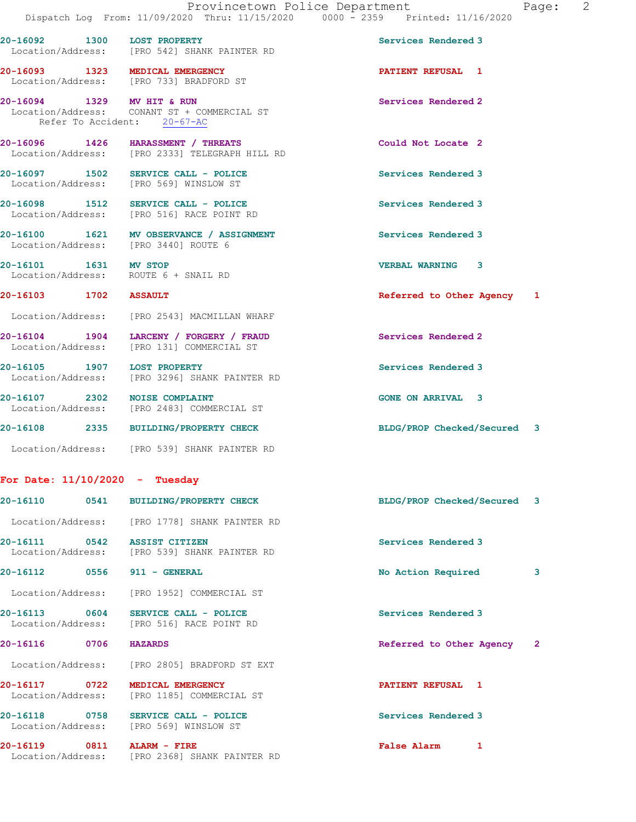20-16092 1300 LOST PROPERTY Services Rendered 3

Location/Address: [PRO 542] SHANK PAINTER RD

| 'aqe: |  |
|-------|--|
|       |  |
|       |  |

|                                                               | 20-16093 1323 MEDICAL EMERGENCY<br>Location/Address: [PRO 733] BRADFORD ST           | <b>PATIENT REFUSAL 1</b>    |
|---------------------------------------------------------------|--------------------------------------------------------------------------------------|-----------------------------|
| Refer To Accident: 20-67-AC                                   | 20-16094 1329 MV HIT & RUN<br>Location/Address: CONANT ST + COMMERCIAL ST            | Services Rendered 2         |
|                                                               | 20-16096 1426 HARASSMENT / THREATS<br>Location/Address: [PRO 2333] TELEGRAPH HILL RD | Could Not Locate 2          |
|                                                               | 20-16097 1502 SERVICE CALL - POLICE<br>Location/Address: [PRO 569] WINSLOW ST        | Services Rendered 3         |
|                                                               | 20-16098 1512 SERVICE CALL - POLICE<br>Location/Address: [PRO 516] RACE POINT RD     | Services Rendered 3         |
| Location/Address: [PRO 3440] ROUTE 6                          | 20-16100 1621 MV OBSERVANCE / ASSIGNMENT                                             | Services Rendered 3         |
| 20-16101 1631 MV STOP<br>Location/Address: ROUTE 6 + SNAIL RD |                                                                                      | <b>VERBAL WARNING 3</b>     |
| 20-16103 1702 ASSAULT                                         |                                                                                      | Referred to Other Agency 1  |
|                                                               | Location/Address: [PRO 2543] MACMILLAN WHARF                                         |                             |
|                                                               | 20-16104 1904 LARCENY / FORGERY / FRAUD<br>Location/Address: [PRO 131] COMMERCIAL ST | Services Rendered 2         |
| 20-16105 1907 LOST PROPERTY                                   | Location/Address: [PRO 3296] SHANK PAINTER RD                                        | Services Rendered 3         |
| 20-16107 2302 NOISE COMPLAINT                                 | Location/Address: [PRO 2483] COMMERCIAL ST                                           | <b>GONE ON ARRIVAL 3</b>    |
|                                                               | 20-16108 2335 BUILDING/PROPERTY CHECK                                                | BLDG/PROP Checked/Secured 3 |
|                                                               | Location/Address: [PRO 539] SHANK PAINTER RD                                         |                             |
| For Date: $11/10/2020 -$ Tuesday                              |                                                                                      |                             |
| 20-16110                                                      | 0541 BUILDING/PROPERTY CHECK                                                         | BLDG/PROP Checked/Secured 3 |

| 40 10110 <b>10</b>              | <b>DUIDING/FRUFBRII CHECK</b>                                                 | babe, FROF CHECKEY, BECULEY 5 |   |
|---------------------------------|-------------------------------------------------------------------------------|-------------------------------|---|
|                                 | Location/Address: [PRO 1778] SHANK PAINTER RD                                 |                               |   |
| 20-16111 0542 ASSIST CITIZEN    | Location/Address: [PRO 539] SHANK PAINTER RD                                  | Services Rendered 3           |   |
| 20-16112 0556 911 - GENERAL     |                                                                               | No Action Required            | 3 |
|                                 | Location/Address: [PRO 1952] COMMERCIAL ST                                    |                               |   |
| 20-16113 0604                   | SERVICE CALL - POLICE<br>Location/Address: [PRO 516] RACE POINT RD            | Services Rendered 3           |   |
| 20-16116 0706                   | <b>HAZARDS</b>                                                                | Referred to Other Agency 2    |   |
|                                 | Location/Address: [PRO 2805] BRADFORD ST EXT                                  |                               |   |
| 20-16117 0722 MEDICAL EMERGENCY | Location/Address: [PRO 1185] COMMERCIAL ST                                    | PATIENT REFUSAL 1             |   |
|                                 | 20-16118 0758 SERVICE CALL - POLICE<br>Location/Address: [PRO 569] WINSLOW ST | Services Rendered 3           |   |
|                                 | Location/Address: [PRO 2368] SHANK PAINTER RD                                 | <b>False Alarm</b><br>1       |   |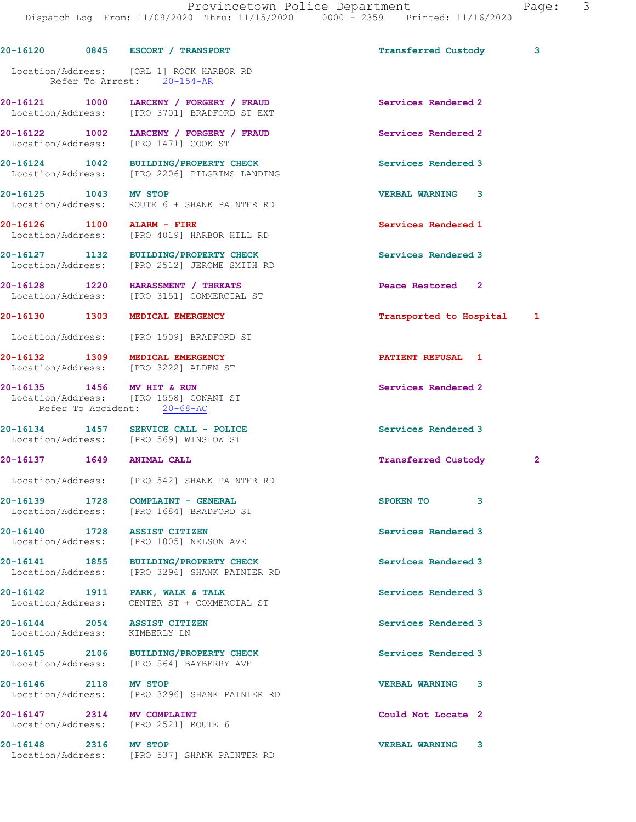|                                                               | 20-16120 0845 ESCORT / TRANSPORT                                                           | Transferred Custody        | 3            |
|---------------------------------------------------------------|--------------------------------------------------------------------------------------------|----------------------------|--------------|
|                                                               | Location/Address: [ORL 1] ROCK HARBOR RD<br>Refer To Arrest: 20-154-AR                     |                            |              |
|                                                               | 20-16121 1000 LARCENY / FORGERY / FRAUD<br>Location/Address: [PRO 3701] BRADFORD ST EXT    | Services Rendered 2        |              |
|                                                               | 20-16122 1002 LARCENY / FORGERY / FRAUD<br>Location/Address: [PRO 1471] COOK ST            | Services Rendered 2        |              |
|                                                               | 20-16124 1042 BUILDING/PROPERTY CHECK<br>Location/Address: [PRO 2206] PILGRIMS LANDING     | Services Rendered 3        |              |
| 20-16125 1043 MV STOP                                         | Location/Address: ROUTE 6 + SHANK PAINTER RD                                               | <b>VERBAL WARNING 3</b>    |              |
|                                                               | 20-16126 1100 ALARM - FIRE<br>Location/Address: [PRO 4019] HARBOR HILL RD                  | Services Rendered 1        |              |
|                                                               | 20-16127 1132 BUILDING/PROPERTY CHECK<br>Location/Address: [PRO 2512] JEROME SMITH RD      | Services Rendered 3        |              |
|                                                               | 20-16128 1220 HARASSMENT / THREATS<br>Location/Address: [PRO 3151] COMMERCIAL ST           | Peace Restored 2           |              |
|                                                               | 20-16130 1303 MEDICAL EMERGENCY                                                            | Transported to Hospital    | 1            |
|                                                               | Location/Address: [PRO 1509] BRADFORD ST                                                   |                            |              |
|                                                               | 20-16132 1309 MEDICAL EMERGENCY<br>Location/Address: [PRO 3222] ALDEN ST                   | PATIENT REFUSAL 1          |              |
| 20-16135 1456 MV HIT & RUN                                    | Location/Address: [PRO 1558] CONANT ST<br>Refer To Accident: 20-68-AC                      | Services Rendered 2        |              |
|                                                               | 20-16134 1457 SERVICE CALL - POLICE<br>Location/Address: [PRO 569] WINSLOW ST              | Services Rendered 3        |              |
| 20-16137 1649 ANIMAL CALL                                     |                                                                                            | <b>Transferred Custody</b> | $\mathbf{2}$ |
|                                                               | Location/Address: [PRO 542] SHANK PAINTER RD                                               |                            |              |
|                                                               | 20-16139         1728      COMPLAINT - GENERAL<br>Location/Address: [PRO 1684] BRADFORD ST | SPOKEN TO<br>$\mathbf{3}$  |              |
| 20-16140 1728 ASSIST CITIZEN                                  | Location/Address: [PRO 1005] NELSON AVE                                                    | Services Rendered 3        |              |
|                                                               | 20-16141 1855 BUILDING/PROPERTY CHECK<br>Location/Address: [PRO 3296] SHANK PAINTER RD     | Services Rendered 3        |              |
|                                                               | 20-16142 1911 PARK, WALK & TALK<br>Location/Address: CENTER ST + COMMERCIAL ST             | Services Rendered 3        |              |
| 20-16144 2054 ASSIST CITIZEN<br>Location/Address: KIMBERLY LN |                                                                                            | Services Rendered 3        |              |
|                                                               | 20-16145 2106 BUILDING/PROPERTY CHECK<br>Location/Address: [PRO 564] BAYBERRY AVE          | Services Rendered 3        |              |
| 20-16146 2118 MV STOP                                         | Location/Address: [PRO 3296] SHANK PAINTER RD                                              | <b>VERBAL WARNING</b><br>3 |              |
| 20-16147 2314 MV COMPLAINT                                    | Location/Address: [PRO 2521] ROUTE 6                                                       | Could Not Locate 2         |              |
| 20-16148 2316 MV STOP                                         | Location/Address: [PRO 537] SHANK PAINTER RD                                               | <b>VERBAL WARNING</b><br>3 |              |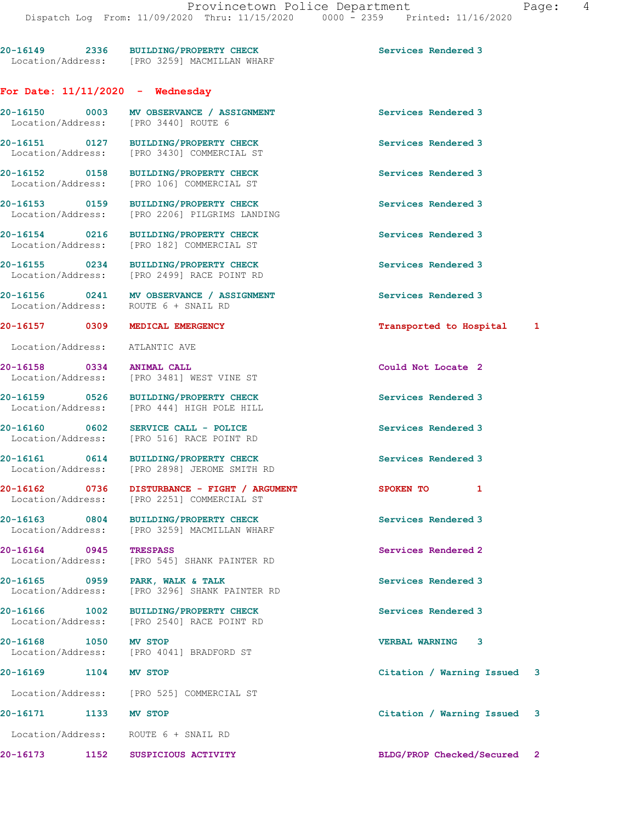# For Date:  $11/11/2020 -$  Wednesday

Location/Address: [PRO 182] COMMERCIAL ST

Location/Address: ATLANTIC AVE

20-16150 0003 MV OBSERVANCE / ASSIGNMENT Services Rendered 3 Location/Address: [PRO 3440] ROUTE 6 20-16151 0127 BUILDING/PROPERTY CHECK Services Rendered 3 Location/Address: [PRO 3430] COMMERCIAL ST 20-16152 0158 BUILDING/PROPERTY CHECK Services Rendered 3 Location/Address: [PRO 106] COMMERCIAL ST 20-16153 0159 BUILDING/PROPERTY CHECK Services Rendered 3 Location/Address: [PRO 2206] PILGRIMS LANDING

20-16154 0216 BUILDING/PROPERTY CHECK Services Rendered 3

20-16155 0234 BUILDING/PROPERTY CHECK Services Rendered 3 Location/Address: [PRO 2499] RACE POINT RD

20-16156 0241 MV OBSERVANCE / ASSIGNMENT Services Rendered 3 Location/Address: ROUTE 6 + SNAIL RD

20-16158 0334 ANIMAL CALL COULD Could Not Locate 2 Location/Address: [PRO 3481] WEST VINE ST

20-16159 0526 BUILDING/PROPERTY CHECK Services Rendered 3 Location/Address: [PRO 444] HIGH POLE HILL

20-16160 0602 SERVICE CALL - POLICE Services Rendered 3<br>
Location/Address: [PRO 516] RACE POINT RD [PRO 516] RACE POINT RD

20-16161 0614 BUILDING/PROPERTY CHECK Services Rendered 3 Location/Address: [PRO 2898] JEROME SMITH RD

20-16162 0736 DISTURBANCE - FIGHT / ARGUMENT SPOKEN TO 1 Location/Address: [PRO 2251] COMMERCIAL ST

20-16163 0804 BUILDING/PROPERTY CHECK Services Rendered 3 Location/Address: [PRO 3259] MACMILLAN WHARF

20-16164 0945 TRESPASS Services Rendered 2 Location/Address: [PRO 545] SHANK PAINTER RD

20-16165 0959 PARK, WALK & TALK Services Rendered 3 Location/Address: [PRO 3296] SHANK PAINTER RD

20-16166 1002 BUILDING/PROPERTY CHECK Services Rendered 3 Location/Address: [PRO 2540] RACE POINT RD

20-16168 1050 MV STOP<br>
Location/Address: [PRO 4041] BRADFORD ST [PRO 4041] BRADFORD ST

Location/Address: [PRO 525] COMMERCIAL ST

Location/Address: ROUTE 6 + SNAIL RD

20-16173 1152 SUSPICIOUS ACTIVITY BLDG/PROP Checked/Secured 2

20-16157 0309 MEDICAL EMERGENCY Transported to Hospital 1

20-16169 1104 MV STOP Citation / Warning Issued 3

20-16171 1133 MV STOP Citation / Warning Issued 3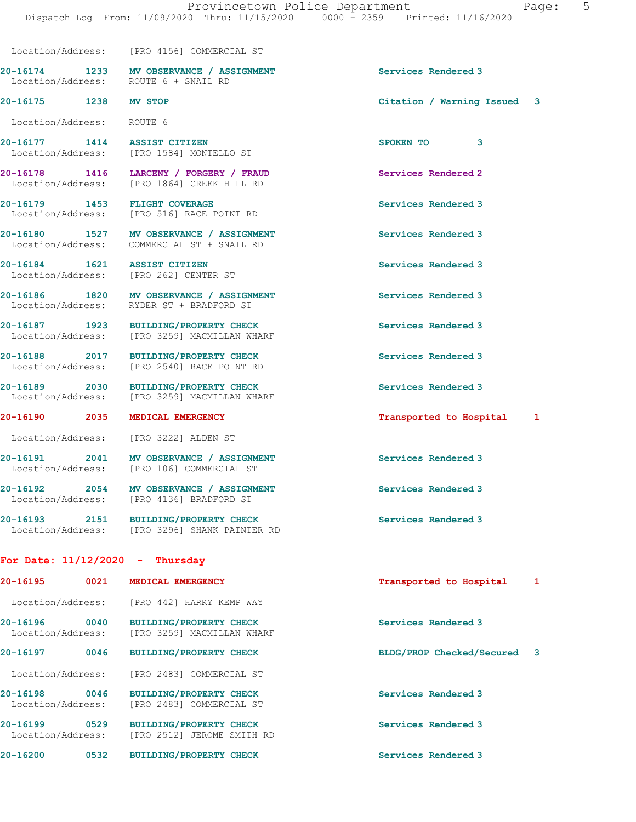20-16175 1238 MV STOP Citation / Warning Issued 3

20-16174 1233 MV OBSERVANCE / ASSIGNMENT Services Rendered 3

Location/Address: [PRO 4156] COMMERCIAL ST

Location/Address: [PRO 2512] JEROME SMITH RD

Location/Address: ROUTE 6 + SNAIL RD

 Location/Address: ROUTE 6 20-16177 1414 ASSIST CITIZEN SPOKEN TO 3<br>
Location/Address: [PRO 1584] MONTELLO ST [PRO 1584] MONTELLO ST 20-16178 1416 LARCENY / FORGERY / FRAUD Services Rendered 2 Location/Address: [PRO 1864] CREEK HILL RD 20-16179 1453 FLIGHT COVERAGE Services Rendered 3 Location/Address: [PRO 516] RACE POINT RD 20-16180 1527 MV OBSERVANCE / ASSIGNMENT Services Rendered 3 Location/Address: COMMERCIAL ST + SNAIL RD 20-16184 1621 ASSIST CITIZEN Services Rendered 3 Location/Address: [PRO 262] CENTER ST 20-16186 1820 MV OBSERVANCE / ASSIGNMENT Services Rendered 3 Location/Address: RYDER ST + BRADFORD ST 20-16187 1923 BUILDING/PROPERTY CHECK Services Rendered 3 Location/Address: [PRO 3259] MACMILLAN WHARF 20-16188 2017 BUILDING/PROPERTY CHECK Services Rendered 3 Location/Address: [PRO 2540] RACE POINT RD 20-16189 2030 BUILDING/PROPERTY CHECK Services Rendered 3 Location/Address: [PRO 3259] MACMILLAN WHARF 20-16190 2035 MEDICAL EMERGENCY Transported to Hospital 1 Location/Address: [PRO 3222] ALDEN ST 20-16191 2041 MV OBSERVANCE / ASSIGNMENT Services Rendered 3 Location/Address: [PRO 106] COMMERCIAL ST 20-16192 2054 MV OBSERVANCE / ASSIGNMENT Services Rendered 3 Location/Address: [PRO 4136] BRADFORD ST 20-16193 2151 BUILDING/PROPERTY CHECK Services Rendered 3 Location/Address: [PRO 3296] SHANK PAINTER RD For Date: 11/12/2020 - Thursday 20-16195 0021 MEDICAL EMERGENCY Transported to Hospital 1 Location/Address: [PRO 442] HARRY KEMP WAY 20-16196 0040 BUILDING/PROPERTY CHECK Services Rendered 3 Location/Address: [PRO 3259] MACMILLAN WHARF 20-16197 0046 BUILDING/PROPERTY CHECK BLDG/PROP Checked/Secured 3 Location/Address: [PRO 2483] COMMERCIAL ST 20-16198 0046 BUILDING/PROPERTY CHECK Services Rendered 3 Location/Address: [PRO 2483] COMMERCIAL ST

20-16199 0529 BUILDING/PROPERTY CHECK Services Rendered 3

20-16200 0532 BUILDING/PROPERTY CHECK Services Rendered 3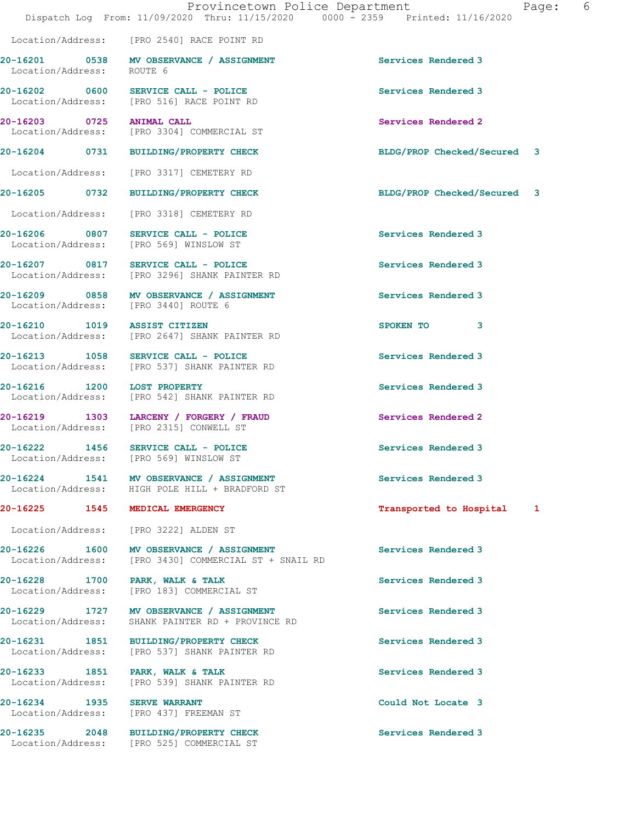Location/Address: [PRO 2540] RACE POINT RD

20-16201 0538 MV OBSERVANCE / ASSIGNMENT Services Rendered 3 Location/Address: ROUTE 6

Location/Address: [PRO 3222] ALDEN ST

20-16202 0600 SERVICE CALL - POLICE 3 Services Rendered 3 Location/Address: [PRO 516] RACE POINT RD

20-16203 0725 ANIMAL CALL 20-16203 Services Rendered 2<br>
Location/Address: [PRO 3304] COMMERCIAL ST [PRO 3304] COMMERCIAL ST

Location/Address: [PRO 3317] CEMETERY RD

20-16205 0732 BUILDING/PROPERTY CHECK BLDG/PROP Checked/Secured 3

Location/Address: [PRO 3318] CEMETERY RD

20-16206 0807 SERVICE CALL - POLICE Services Rendered 3 Location/Address: [PRO 569] WINSLOW ST

20-16207 0817 SERVICE CALL - POLICE Services Rendered 3 Location/Address: [PRO 3296] SHANK PAINTER RD

20-16209 0858 MV OBSERVANCE / ASSIGNMENT Services Rendered 3 Location/Address: [PRO 3440] ROUTE 6

20-16210 1019 ASSIST CITIZEN SPOKEN TO 3 Location/Address: [PRO 2647] SHANK PAINTER RD

20-16213 1058 SERVICE CALL - POLICE 20 Services Rendered 3 Location/Address: [PRO 537] SHANK PAINTER RD

20-16216 1200 LOST PROPERTY Services Rendered 3 Location/Address: [PRO 542] SHANK PAINTER RD

20-16219 1303 LARCENY / FORGERY / FRAUD Services Rendered 2 Location/Address: [PRO 2315] CONWELL ST

20-16222 1456 SERVICE CALL - POLICE Services Rendered 3 Location/Address: [PRO 569] WINSLOW ST

20-16224 1541 MV OBSERVANCE / ASSIGNMENT Services Rendered 3 Location/Address: HIGH POLE HILL + BRADFORD ST

20-16226 1600 MV OBSERVANCE / ASSIGNMENT Services Rendered 3 Location/Address: [PRO 3430] COMMERCIAL ST + SNAIL RD

20-16228 1700 PARK, WALK & TALK Services Rendered 3 Location/Address: [PRO 183] COMMERCIAL ST

20-16229 1727 MV OBSERVANCE / ASSIGNMENT Services Rendered 3 Location/Address: SHANK PAINTER RD + PROVINCE RD

20-16231 1851 BUILDING/PROPERTY CHECK Services Rendered 3 Location/Address: [PRO 537] SHANK PAINTER RD

20-16233 1851 PARK, WALK & TALK Services Rendered 3 Location/Address: [PRO 539] SHANK PAINTER RD

20-16234 1935 SERVE WARRANT Could Not Locate 3 Location/Address: [PRO 437] FREEMAN ST

20-16235 2048 BUILDING/PROPERTY CHECK Services Rendered 3 Location/Address: [PRO 525] COMMERCIAL ST

20-16204 0731 BUILDING/PROPERTY CHECK BLDG/PROP Checked/Secured 3

20-16225 1545 MEDICAL EMERGENCY 1988 120 1 Transported to Hospital 1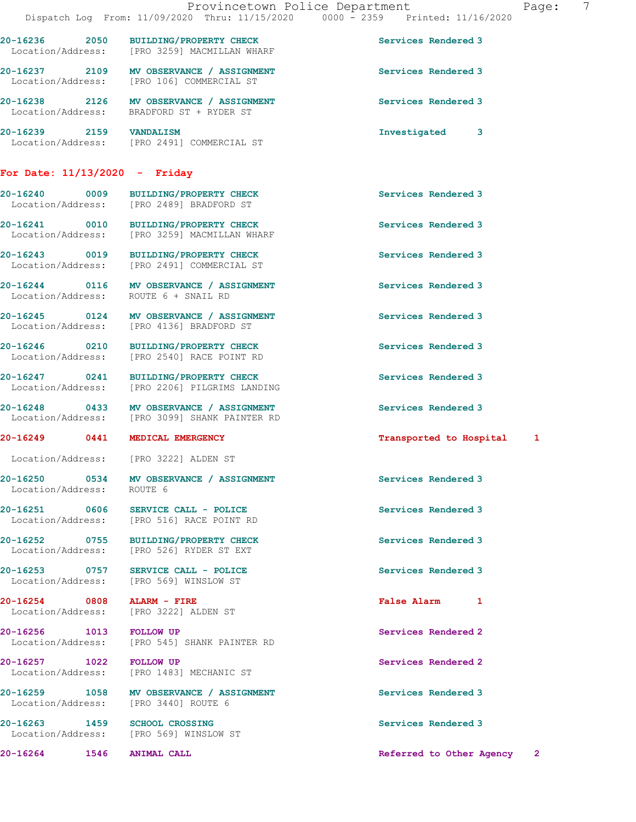Location/Address: [PRO 3259] MACMILLAN WHARF 20-16237 2109 MV OBSERVANCE / ASSIGNMENT Services Rendered 3 Location/Address: [PRO 106] COMMERCIAL ST 20-16238 2126 MV OBSERVANCE / ASSIGNMENT Services Rendered 3 Location/Address: BRADFORD ST + RYDER ST 20-16239 2159 VANDALISM Investigated 3 Location/Address: [PRO 2491] COMMERCIAL ST

20-16236 2050 BUILDING/PROPERTY CHECK Services Rendered 3

## For Date: 11/13/2020 - Friday

20-16240 0009 BUILDING/PROPERTY CHECK Services Rendered 3 Location/Address: [PRO 2489] BRADFORD ST 20-16241 0010 BUILDING/PROPERTY CHECK Services Rendered 3

20-16243 0019 BUILDING/PROPERTY CHECK Services Rendered 3

20-16244 0116 MV OBSERVANCE / ASSIGNMENT Services Rendered 3

Location/Address: ROUTE 6

20-16252 0755 BUILDING/PROPERTY CHECK Services Rendered 3

Location/Address:

20-16254 0808 ALARM - FIRE **False Alarm 1**<br>
Location/Address: [PRO 3222] ALDEN ST

Location/Address: [PRO 569] WINSLOW ST

Location/Address: [PRO 3259] MACMILLAN WHARF

Location/Address: [PRO 2491] COMMERCIAL ST

Location/Address: ROUTE 6 + SNAIL RD

20-16245 0124 MV OBSERVANCE / ASSIGNMENT Services Rendered 3 Location/Address: [PRO 4136] BRADFORD ST

20-16246 0210 BUILDING/PROPERTY CHECK Services Rendered 3 Location/Address: [PRO 2540] RACE POINT RD

20-16247 0241 BUILDING/PROPERTY CHECK Services Rendered 3<br>
Location/Address: [PRO 2206] PILGRIMS LANDING Location/Address: [PRO 2206] PILGRIMS LANDING

20-16248 0433 MV OBSERVANCE / ASSIGNMENT Services Rendered 3 Location/Address: [PRO 3099] SHANK PAINTER RD

Location/Address: [PRO 3222] ALDEN ST

20-16250 0534 MV OBSERVANCE / ASSIGNMENT Services Rendered 3

20-16251 0606 SERVICE CALL - POLICE Services Rendered 3 Location/Address: [PRO 516] RACE POINT RD

Location/Address: [PRO 526] RYDER ST EXT

20-16253 0757 SERVICE CALL - POLICE Services Rendered 3<br>
Location/Address: [PRO 569] WINSLOW ST

[PRO 3222] ALDEN ST

20-16256 1013 FOLLOW UP Services Rendered 2 Location/Address: [PRO 545] SHANK PAINTER RD

20-16257 1022 FOLLOW UP Services Rendered 2 Location/Address: [PRO 1483] MECHANIC ST

20-16259 1058 MV OBSERVANCE / ASSIGNMENT Services Rendered 3 Location/Address: [PRO 3440] ROUTE 6

20-16263 1459 SCHOOL CROSSING Services Rendered 3

### 20-16249 0441 MEDICAL EMERGENCY Transported to Hospital 1

20-16264 1546 ANIMAL CALL Referred to Other Agency 2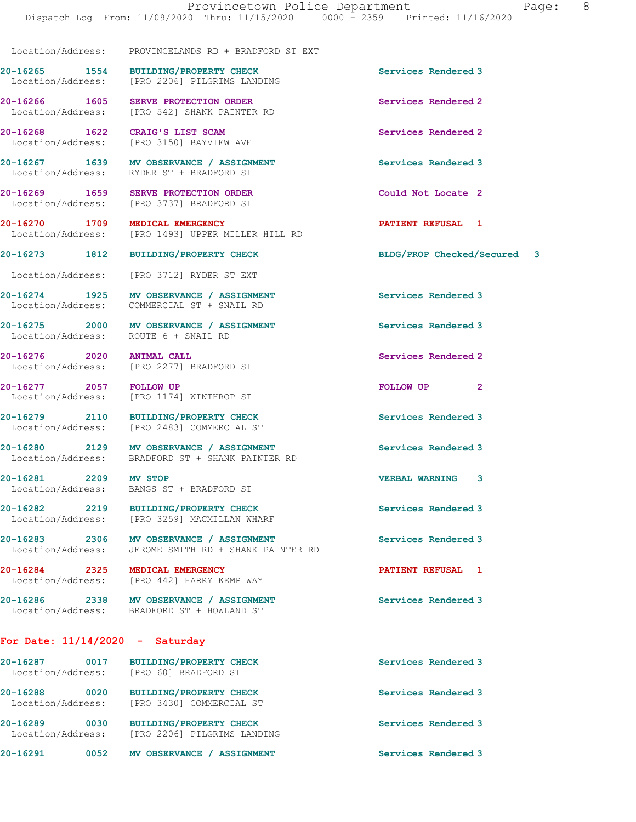[PRO 1493] UPPER MILLER HILL RD

Location/Address: PROVINCELANDS RD + BRADFORD ST EXT

20-16265 1554 BUILDING/PROPERTY CHECK Services Rendered 3 Location/Address: [PRO 2206] PILGRIMS LANDING

Location/Address: [PRO 542] SHANK PAINTER RD

Location/Address: [PRO 3150] BAYVIEW AVE

20-16267 1639 MV OBSERVANCE / ASSIGNMENT Services Rendered 3 Location/Address: RYDER ST + BRADFORD ST

20-16269 1659 SERVE PROTECTION ORDER Could Not Locate 2 Location/Address: [PRO 3737] BRADFORD ST

20-16270 1709 MEDICAL EMERGENCY 1992 20-16270 PATIENT REFUSAL 1<br>
Location/Address: [PRO 1493] UPPER MILLER HILL RD

Location/Address: [PRO 3712] RYDER ST EXT

20-16274 1925 MV OBSERVANCE / ASSIGNMENT Services Rendered 3 Location/Address: COMMERCIAL ST + SNAIL RD

20-16275 2000 MV OBSERVANCE / ASSIGNMENT Services Rendered 3 Location/Address: ROUTE 6 + SNAIL RD

20-16276 2020 ANIMAL CALL Services Rendered 2 Location/Address: [PRO 2277] BRADFORD ST

20-16277 2057 FOLLOW UP FOLLOW UP 2 Location/Address: [PRO 1174] WINTHROP ST

20-16279 2110 BUILDING/PROPERTY CHECK Services Rendered 3<br>
Location/Address: [PRO 2483] COMMERCIAL ST

[PRO 2483] COMMERCIAL ST

20-16280 2129 MV OBSERVANCE / ASSIGNMENT Services Rendered 3 Location/Address: BRADFORD ST + SHANK PAINTER RD

20-16281 2209 MV STOP VERBAL WARNING 3 Location/Address: BANGS ST + BRADFORD ST

20-16282 2219 BUILDING/PROPERTY CHECK Services Rendered 3 Location/Address: [PRO 3259] MACMILLAN WHARF

20-16283 2306 MV OBSERVANCE / ASSIGNMENT Services Rendered 3 Location/Address: JEROME SMITH RD + SHANK PAINTER RD

20-16284 2325 MEDICAL EMERGENCY PATIENT REFUSAL 1 Location/Address: [PRO 442] HARRY KEMP WAY

20-16286 2338 MV OBSERVANCE / ASSIGNMENT Services Rendered 3 Location/Address: BRADFORD ST + HOWLAND ST

For Date: 11/14/2020 - Saturday

20-16287 0017 BUILDING/PROPERTY CHECK Services Rendered 3 Location/Address: [PRO 60] BRADFORD ST 20-16288 0020 BUILDING/PROPERTY CHECK Services Rendered 3 Location/Address: [PRO 3430] COMMERCIAL ST 20-16289 0030 BUILDING/PROPERTY CHECK Services Rendered 3 Location/Address: [PRO 2206] PILGRIMS LANDING 20-16291 0052 MV OBSERVANCE / ASSIGNMENT Services Rendered 3

20-16266 1605 SERVE PROTECTION ORDER Services Rendered 2

20-16268 1622 CRAIG'S LIST SCAM Services Rendered 2

20-16273 1812 BUILDING/PROPERTY CHECK BLDG/PROP Checked/Secured 3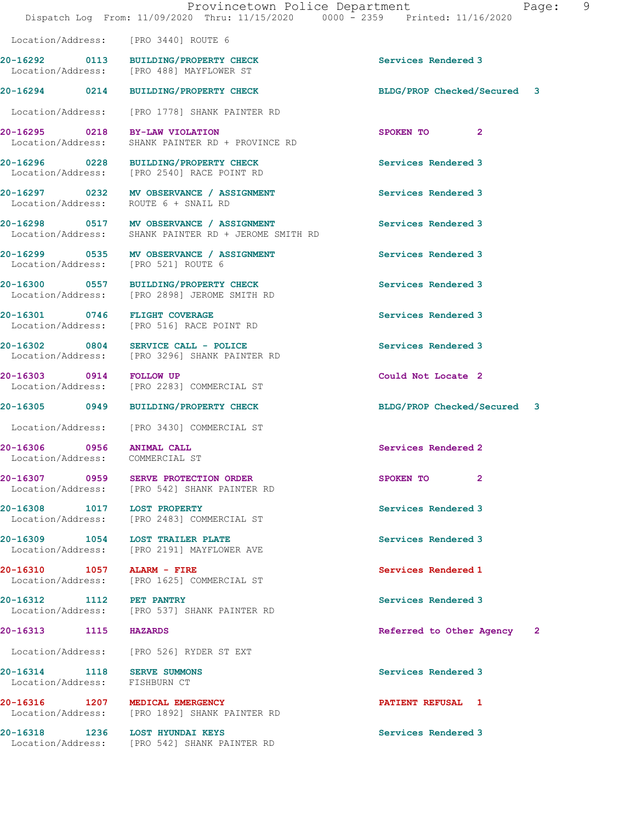Location/Address: [PRO 3440] ROUTE 6

20-16292 0113 BUILDING/PROPERTY CHECK Services Rendered 3 Location/Address: [PRO 488] MAYFLOWER ST

20-16294 0214 BUILDING/PROPERTY CHECK BLDG/PROP Checked/Secured 3

Location/Address: [PRO 1778] SHANK PAINTER RD

20-16306 0956 ANIMAL CALL Services Rendered 2 Location/Address: COMMERCIAL ST

Location/Address: FISHBURN CT

20-16295 0218 BY-LAW VIOLATION SPOKEN TO 2<br>
Location/Address: SHANK PAINTER RD + PROVINCE RD SHANK PAINTER RD + PROVINCE RD

20-16296 0228 BUILDING/PROPERTY CHECK Services Rendered 3 Location/Address: [PRO 2540] RACE POINT RD

20-16297 0232 MV OBSERVANCE / ASSIGNMENT Services Rendered 3 Location/Address: ROUTE 6 + SNAIL RD

20-16298 0517 MV OBSERVANCE / ASSIGNMENT Services Rendered 3 Location/Address: SHANK PAINTER RD + JEROME SMITH RD

20-16299 0535 MV OBSERVANCE / ASSIGNMENT Services Rendered 3 Location/Address: [PRO 521] ROUTE 6

20-16300 0557 BUILDING/PROPERTY CHECK Services Rendered 3 Location/Address: [PRO 2898] JEROME SMITH RD

20-16301 0746 FLIGHT COVERAGE Services Rendered 3 Location/Address: [PRO 516] RACE POINT RD

20-16302 0804 SERVICE CALL - POLICE Services Rendered 3 Location/Address: [PRO 3296] SHANK PAINTER RD

20-16303 0914 FOLLOW UP Could Not Locate 2<br>
Location/Address: [PRO 2283] COMMERCIAL ST [PRO 2283] COMMERCIAL ST

Location/Address: [PRO 3430] COMMERCIAL ST

20-16307 0959 SERVE PROTECTION ORDER SPOKEN TO 2 Location/Address: [PRO 542] SHANK PAINTER RD

20-16308 1017 LOST PROPERTY Services Rendered 3 Location/Address: [PRO 2483] COMMERCIAL ST

20-16309 1054 LOST TRAILER PLATE Services Rendered 3 Location/Address: [PRO 2191] MAYFLOWER AVE

20-16310 1057 ALARM - FIRE<br>
Location/Address: [PRO 1625] COMMERCIAL ST [PRO 1625] COMMERCIAL ST

20-16312 1112 PET PANTRY<br>
Location/Address: [PRO 537] SHANK PAINTER RD<br>
Services Rendered 3 [PRO 537] SHANK PAINTER RD

Location/Address: [PRO 526] RYDER ST EXT

20-16316 1207 MEDICAL EMERGENCY **1208** PATIENT REFUSAL 1 Location/Address: [PRO 1892] SHANK PAINTER RD

20-16318 1236 LOST HYUNDAI KEYS Services Rendered 3 Location/Address: [PRO 542] SHANK PAINTER RD

20-16305 0949 BUILDING/PROPERTY CHECK BLDG/PROP Checked/Secured 3

20-16313 1115 HAZARDS Referred to Other Agency 2

20-16314 1118 SERVE SUMMONS Services Rendered 3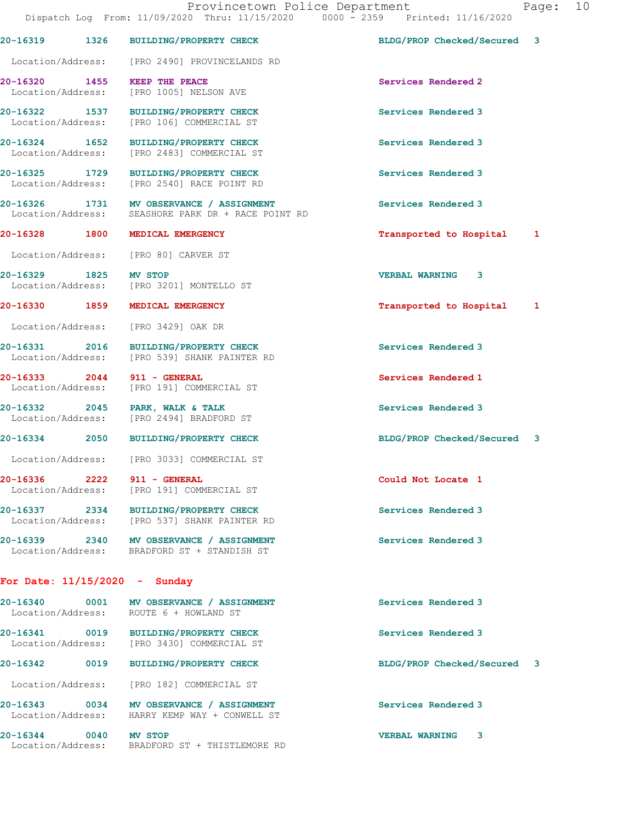Dispatch Log From: 11/09/2020 Thru: 11/15/2020 0000 - 2359 Printed: 11/16/2020 20-16319 1326 BUILDING/PROPERTY CHECK BLDG/PROP Checked/Secured 3 Location/Address: [PRO 2490] PROVINCELANDS RD 20-16320 1455 KEEP THE PEACE Services Rendered 2 Location/Address: [PRO 1005] NELSON AVE 20-16322 1537 BUILDING/PROPERTY CHECK Services Rendered 3 Location/Address: [PRO 106] COMMERCIAL ST 20-16324 1652 BUILDING/PROPERTY CHECK Services Rendered 3<br>
Location/Address: [PRO 2483] COMMERCIAL ST [PRO 2483] COMMERCIAL ST 20-16325 1729 BUILDING/PROPERTY CHECK Services Rendered 3 Location/Address: [PRO 2540] RACE POINT RD 20-16326 1731 MV OBSERVANCE / ASSIGNMENT Services Rendered 3 Location/Address: SEASHORE PARK DR + RACE POINT RD 20-16328 1800 MEDICAL EMERGENCY Transported to Hospital 1 Location/Address: [PRO 80] CARVER ST 20-16329 1825 MV STOP 1825 20-16329 VERBAL WARNING 3<br>
Location/Address: [PRO 3201] MONTELLO ST Location/Address: [PRO 3201] MONTELLO ST 20-16330 1859 MEDICAL EMERGENCY **1859 1869 1869 1869** Transported to Hospital 1 Location/Address: [PRO 3429] OAK DR 20-16331 2016 BUILDING/PROPERTY CHECK Services Rendered 3 Location/Address: [PRO 539] SHANK PAINTER RD 20-16333 2044 911 - GENERAL Services Rendered 1 Location/Address: [PRO 191] COMMERCIAL ST 20-16332 2045 PARK, WALK & TALK Services Rendered 3 Location/Address: [PRO 2494] BRADFORD ST 20-16334 2050 BUILDING/PROPERTY CHECK BLDG/PROP Checked/Secured 3 Location/Address: [PRO 3033] COMMERCIAL ST 20-16336 2222 911 - GENERAL Could Not Locate 1 Location/Address: [PRO 191] COMMERCIAL ST 20-16337 2334 BUILDING/PROPERTY CHECK Services Rendered 3 Location/Address: [PRO 537] SHANK PAINTER RD 20-16339 2340 MV OBSERVANCE / ASSIGNMENT Services Rendered 3 Location/Address: BRADFORD ST + STANDISH ST For Date: 11/15/2020 - Sunday 20-16340 0001 MV OBSERVANCE / ASSIGNMENT Services Rendered 3 ROUTE 6 + HOWLAND ST 20-16341 0019 BUILDING/PROPERTY CHECK Services Rendered 3

20-16342 0019 BUILDING/PROPERTY CHECK BLDG/PROP Checked/Secured 3

20-16343 0034 MV OBSERVANCE / ASSIGNMENT Services Rendered 3

20-16344 0040 MV STOP VERBAL WARNING 3

HARRY KEMP WAY + CONWELL ST

Location/Address: [PRO 3430] COMMERCIAL ST

Location/Address: [PRO 182] COMMERCIAL ST

Location/Address: BRADFORD ST + THISTLEMORE RD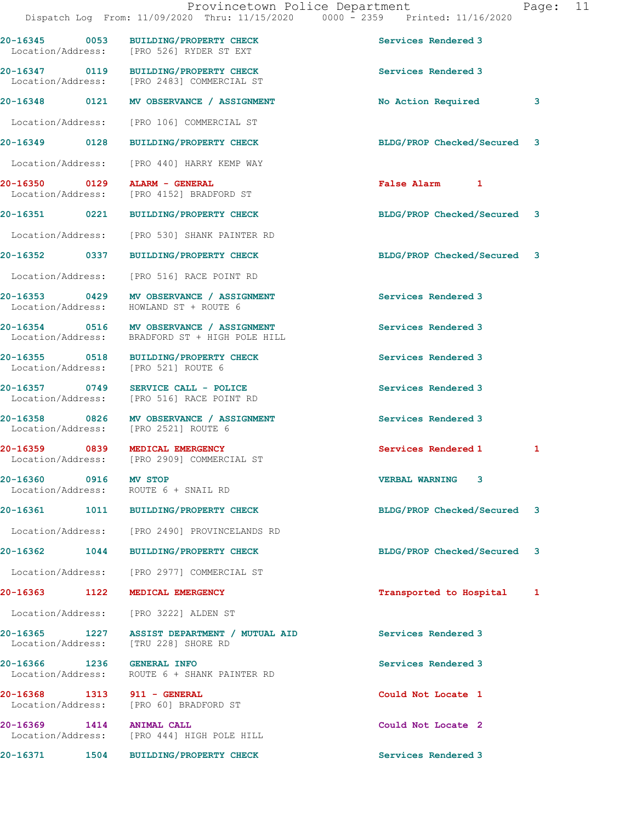20-16345 0053 BUILDING/PROPERTY CHECK Services Rendered 3 Location/Address: [PRO 526] RYDER ST EXT 20-16347 0119 BUILDING/PROPERTY CHECK Services Rendered 3 Location/Address: [PRO 2483] COMMERCIAL ST 20-16348 0121 MV OBSERVANCE / ASSIGNMENT No Action Required 3 Location/Address: [PRO 106] COMMERCIAL ST 20-16349 0128 BUILDING/PROPERTY CHECK BLDG/PROP Checked/Secured 3 Location/Address: [PRO 440] HARRY KEMP WAY 20-16350 0129 ALARM - GENERAL False Alarm 1 [PRO 4152] BRADFORD ST 20-16351 0221 BUILDING/PROPERTY CHECK BLDG/PROP Checked/Secured 3 Location/Address: [PRO 530] SHANK PAINTER RD 20-16352 0337 BUILDING/PROPERTY CHECK BLDG/PROP Checked/Secured 3 Location/Address: [PRO 516] RACE POINT RD 20-16353 0429 MV OBSERVANCE / ASSIGNMENT Services Rendered 3 Location/Address: HOWLAND ST + ROUTE 6 20-16354 0516 MV OBSERVANCE / ASSIGNMENT Services Rendered 3 Location/Address: BRADFORD ST + HIGH POLE HILL 20-16355 0518 BUILDING/PROPERTY CHECK Services Rendered 3 Location/Address: [PRO 521] ROUTE 6 20-16357 0749 SERVICE CALL - POLICE Services Rendered 3 Location/Address: [PRO 516] RACE POINT RD 20-16358 0826 MV OBSERVANCE / ASSIGNMENT Services Rendered 3 Location/Address: [PRO 2521] ROUTE 6 20-16359 0839 MEDICAL EMERGENCY Services Rendered 1 1 Location/Address: [PRO 2909] COMMERCIAL ST 20-16360 0916 MV STOP VERBAL WARNING 3 Location/Address: ROUTE 6 + SNAIL RD 20-16361 1011 BUILDING/PROPERTY CHECK BLDG/PROP Checked/Secured 3 Location/Address: [PRO 2490] PROVINCELANDS RD 20-16362 1044 BUILDING/PROPERTY CHECK BLDG/PROP Checked/Secured 3 Location/Address: [PRO 2977] COMMERCIAL ST 20-16363 1122 MEDICAL EMERGENCY 120 1 Transported to Hospital 1 Location/Address: [PRO 3222] ALDEN ST 20-16365 1227 ASSIST DEPARTMENT / MUTUAL AID Services Rendered 3 Location/Address: [TRU 228] SHORE RD 20-16366 1236 GENERAL INFO Services Rendered 3 Location/Address: ROUTE 6 + SHANK PAINTER RD 20-16368 1313 911 - GENERAL Could Not Locate 1 Location/Address: [PRO 60] BRADFORD ST 20-16369 1414 ANIMAL CALL Could Not Locate 2 Location/Address: [PRO 444] HIGH POLE HILL

20-16371 1504 BUILDING/PROPERTY CHECK Services Rendered 3